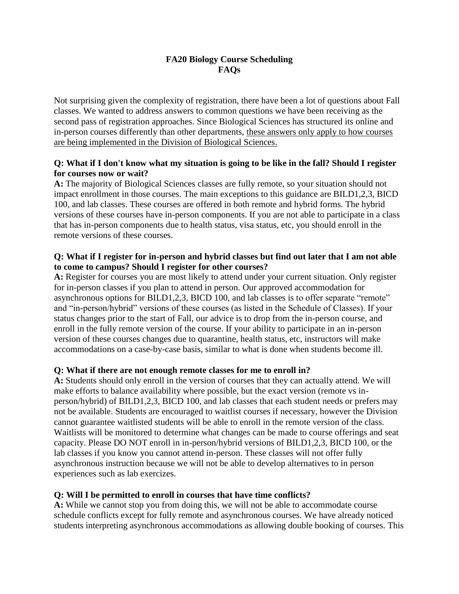## **FA20 Biology Course Scheduling FAQs**

Not surprising given the complexity of registration, there have been a lot of questions about Fall classes. We wanted to address answers to common questions we have been receiving as the second pass of registration approaches. Since Biological Sciences has structured its online and in-person courses differently than other departments, these answers only apply to how courses are being implemented in the Division of Biological Sciences.

### **Q: What if I don't know what my situation is going to be like in the fall? Should I register for courses now or wait?**

**A:** The majority of Biological Sciences classes are fully remote, so your situation should not impact enrollment in those courses. The main exceptions to this guidance are BILD1,2,3, BICD 100, and lab classes. These courses are offered in both remote and hybrid forms. The hybrid versions of these courses have in-person components. If you are not able to participate in a class that has in-person components due to health status, visa status, etc, you should enroll in the remote versions of these courses.

## **Q: What if I register for in-person and hybrid classes but find out later that I am not able to come to campus? Should I register for other courses?**

**A:** Register for courses you are most likely to attend under your current situation. Only register for in-person classes if you plan to attend in person. Our approved accommodation for asynchronous options for BILD1,2,3, BICD 100, and lab classes is to offer separate "remote" and "in-person/hybrid" versions of these courses (as listed in the Schedule of Classes). If your status changes prior to the start of Fall, our advice is to drop from the in-person course, and enroll in the fully remote version of the course. If your ability to participate in an in-person version of these courses changes due to quarantine, health status, etc, instructors will make accommodations on a case-by-case basis, similar to what is done when students become ill.

### **Q: What if there are not enough remote classes for me to enroll in?**

**A:** Students should only enroll in the version of courses that they can actually attend. We will make efforts to balance availability where possible, but the exact version (remote vs inperson/hybrid) of BILD1,2,3, BICD 100, and lab classes that each student needs or prefers may not be available. Students are encouraged to waitlist courses if necessary, however the Division cannot guarantee waitlisted students will be able to enroll in the remote version of the class. Waitlists will be monitored to determine what changes can be made to course offerings and seat capacity. Please DO NOT enroll in in-person/hybrid versions of BILD1,2,3, BICD 100, or the lab classes if you know you cannot attend in-person. These classes will not offer fully asynchronous instruction because we will not be able to develop alternatives to in person experiences such as lab exercizes.

# **Q: Will I be permitted to enroll in courses that have time conflicts?**

**A:** While we cannot stop you from doing this, we will not be able to accommodate course schedule conflicts except for fully remote and asynchronous courses. We have already noticed students interpreting asynchronous accommodations as allowing double booking of courses. This